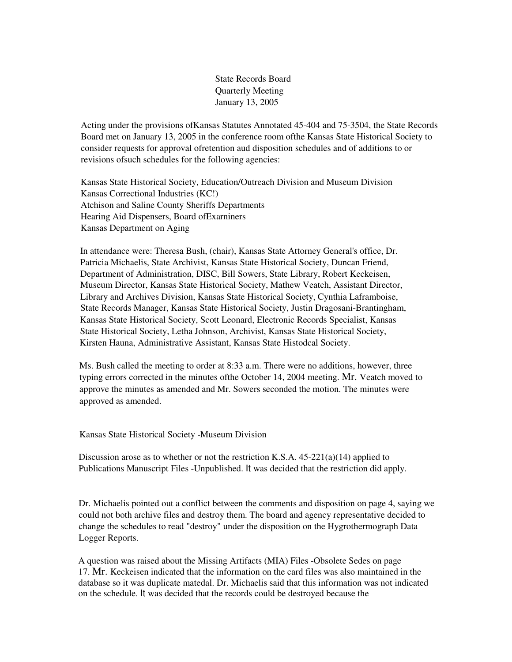State Records Board Quarterly Meeting January 13, 2005

Acting under the provisions ofKansas Statutes Annotated 45-404 and 75-3504, the State Records Board met on January 13, 2005 in the conference room ofthe Kansas State Historical Society to consider requests for approval ofretention aud disposition schedules and of additions to or revisions ofsuch schedules for the following agencies:

Kansas State Historical Society, Education/Outreach Division and Museum Division Kansas Correctional Industries (KC!) Atchison and Saline County Sheriffs Departments Hearing Aid Dispensers, Board ofExarniners Kansas Department on Aging

In attendance were: Theresa Bush, (chair), Kansas State Attorney General's office, Dr. Patricia Michaelis, State Archivist, Kansas State Historical Society, Duncan Friend, Department of Administration, DISC, Bill Sowers, State Library, Robert Keckeisen, Museum Director, Kansas State Historical Society, Mathew Veatch, Assistant Director, Library and Archives Division, Kansas State Historical Society, Cynthia Laframboise, State Records Manager, Kansas State Historical Society, Justin Dragosani-Brantingham, Kansas State Historical Society, Scott Leonard, Electronic Records Specialist, Kansas State Historical Society, Letha Johnson, Archivist, Kansas State Historical Society, Kirsten Hauna, Administrative Assistant, Kansas State Histodcal Society.

Ms. Bush called the meeting to order at 8:33 a.m. There were no additions, however, three typing errors corrected in the minutes ofthe October 14, 2004 meeting. Mr. Veatch moved to approve the minutes as amended and Mr. Sowers seconded the motion. The minutes were approved as amended.

Kansas State Historical Society -Museum Division

Discussion arose as to whether or not the restriction K.S.A.  $45-221(a)(14)$  applied to Publications Manuscript Files -Unpublished. It was decided that the restriction did apply.

Dr. Michaelis pointed out a conflict between the comments and disposition on page 4, saying we could not both archive files and destroy them. The board and agency representative decided to change the schedules to read "destroy" under the disposition on the Hygrothermograph Data Logger Reports.

A question was raised about the Missing Artifacts (MIA) Files -Obsolete Sedes on page 17. Mr. Keckeisen indicated that the information on the card files was also maintained in the database so it was duplicate matedal. Dr. Michaelis said that this information was not indicated on the schedule. It was decided that the records could be destroyed because the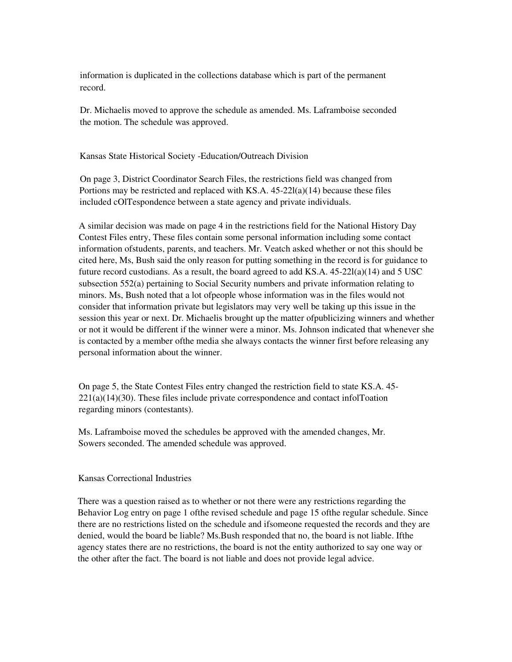information is duplicated in the collections database which is part of the permanent record.

Dr. Michaelis moved to approve the schedule as amended. Ms. Laframboise seconded the motion. The schedule was approved.

Kansas State Historical Society -Education/Outreach Division

On page 3, District Coordinator Search Files, the restrictions field was changed from Portions may be restricted and replaced with  $KS.A.$  45-22 $l(a)(14)$  because these files included cOlTespondence between a state agency and private individuals.

A similar decision was made on page 4 in the restrictions field for the National History Day Contest Files entry, These files contain some personal information including some contact information ofstudents, parents, and teachers. Mr. Veatch asked whether or not this should be cited here, Ms, Bush said the only reason for putting something in the record is for guidance to future record custodians. As a result, the board agreed to add KS.A.  $45-22l(a)(14)$  and  $5$  USC subsection 552(a) pertaining to Social Security numbers and private information relating to minors. Ms, Bush noted that a lot ofpeople whose information was in the files would not consider that information private but legislators may very well be taking up this issue in the session this year or next. Dr. Michaelis brought up the matter ofpublicizing winners and whether or not it would be different if the winner were a minor. Ms. Johnson indicated that whenever she is contacted by a member ofthe media she always contacts the winner first before releasing any personal information about the winner.

On page 5, the State Contest Files entry changed the restriction field to state KS.A. 45-  $221(a)(14)(30)$ . These files include private correspondence and contact infolToation regarding minors (contestants).

Ms. Laframboise moved the schedules be approved with the amended changes, Mr. Sowers seconded. The amended schedule was approved.

## Kansas Correctional Industries

There was a question raised as to whether or not there were any restrictions regarding the Behavior Log entry on page 1 ofthe revised schedule and page 15 ofthe regular schedule. Since there are no restrictions listed on the schedule and ifsomeone requested the records and they are denied, would the board be liable? Ms.Bush responded that no, the board is not liable. Ifthe agency states there are no restrictions, the board is not the entity authorized to say one way or the other after the fact. The board is not liable and does not provide legal advice.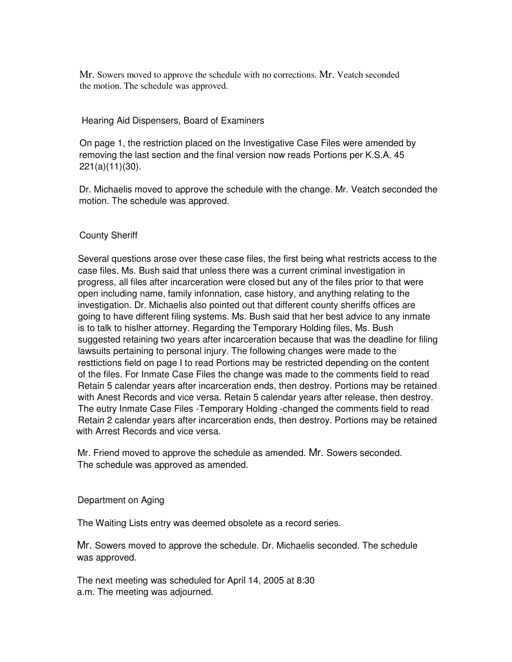Mr. Sowers moved to approve the schedule with no corrections. Mr. Veatch seconded the motion. The schedule was approved.

## Hearing Aid Dispensers, Board of Examiners

On page 1, the restriction placed on the Investigative Case Files were amended by removing the last section and the final version now reads Portions per K.S.A. 45 221(a)(11)(30).

Dr. Michaelis moved to approve the schedule with the change. Mr. Veatch seconded the motion. The schedule was approved.

## County Sheriff

Several questions arose over these case files, the first being what restricts access to the case files. Ms. Bush said that unless there was a current criminal investigation in progress, all files after incarceration were closed but any of the files prior to that were open including name, family infonnation, case history, and anything relating to the investigation. Dr. Michaelis also pointed out that different county sheriffs offices are going to have different filing systems. Ms. Bush said that her best advice to any inmate is to talk to hislher attorney. Regarding the Temporary Holding files, Ms. Bush suggested retaining two years after incarceration because that was the deadline for filing lawsuits pertaining to personal injury. The following changes were made to the resttictions field on page I to read Portions may be restricted depending on the content of the files. For Inmate Case Files the change was made to the comments field to read Retain 5 calendar years after incarceration ends, then destroy. Portions may be retained with Anest Records and vice versa. Retain 5 calendar years after release, then destroy. The eutry Inmate Case Files -Temporary Holding -changed the comments field to read Retain 2 calendar years after incarceration ends, then destroy. Portions may be retained with Arrest Records and vice versa.

Mr. Friend moved to approve the schedule as amended. Mr. Sowers seconded. The schedule was approved as amended.

Department on Aging

The Waiting Lists entry was deemed obsolete as a record series.

Mr. Sowers moved to approve the schedule. Dr. Michaelis seconded. The schedule was approved.

The next meeting was scheduled for April 14, 2005 at 8:30 a.m. The meeting was adjourned.